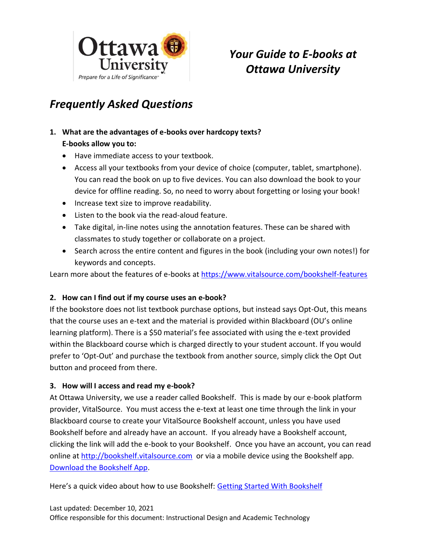

# *Your Guide to E-books at Ottawa University*

# *Frequently Asked Questions*

# **1. What are the advantages of e-books over hardcopy texts? E-books allow you to:**

- Have immediate access to your textbook.
- Access all your textbooks from your device of choice (computer, tablet, smartphone). You can read the book on up to five devices. You can also download the book to your device for offline reading. So, no need to worry about forgetting or losing your book!
- Increase text size to improve readability.
- Listen to the book via the read-aloud feature.
- Take digital, in-line notes using the annotation features. These can be shared with classmates to study together or collaborate on a project.
- Search across the entire content and figures in the book (including your own notes!) for keywords and concepts.

Learn more about the features of e-books at<https://www.vitalsource.com/bookshelf-features>

### **2. How can I find out if my course uses an e-book?**

If the bookstore does not list textbook purchase options, but instead says Opt-Out, this means that the course uses an e-text and the material is provided within Blackboard (OU's online learning platform). There is a \$50 material's fee associated with using the e-text provided within the Blackboard course which is charged directly to your student account. If you would prefer to 'Opt-Out' and purchase the textbook from another source, simply click the Opt Out button and proceed from there.

### **3. How will I access and read my e-book?**

At Ottawa University, we use a reader called Bookshelf. This is made by our e-book platform provider, VitalSource. You must access the e-text at least one time through the link in your Blackboard course to create your VitalSource Bookshelf account, unless you have used Bookshelf before and already have an account. If you already have a Bookshelf account, clicking the link will add the e-book to your Bookshelf. Once you have an account, you can read online at [http://bookshelf.vitalsource.com](http://bookshelf.vitalsource.com/) or via a mobile device using the Bookshelf app. [Download the Bookshelf App.](https://support.vitalsource.com/hc/en-us/categories/360001056774)

Here's a quick video about how to use Bookshelf: [Getting Started With Bookshelf](https://youtu.be/JUApmqGnLMk)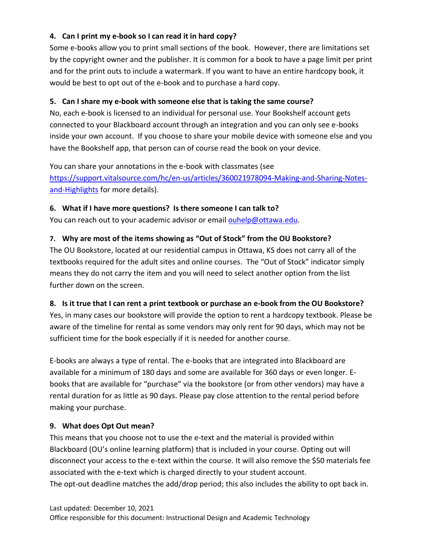## **4. Can I print my e-book so I can read it in hard copy?**

Some e-books allow you to print small sections of the book. However, there are limitations set by the copyright owner and the publisher. It is common for a book to have a page limit per print and for the print outs to include a watermark. If you want to have an entire hardcopy book, it would be best to opt out of the e-book and to purchase a hard copy.

## **5. Can I share my e-book with someone else that is taking the same course?**

No, each e-book is licensed to an individual for personal use. Your Bookshelf account gets connected to your Blackboard account through an integration and you can only see e-books inside your own account. If you choose to share your mobile device with someone else and you have the Bookshelf app, that person can of course read the book on your device.

You can share your annotations in the e-book with classmates (see

[https://support.vitalsource.com/hc/en-us/articles/360021978094-Making-and-Sharing-Notes](https://support.vitalsource.com/hc/en-us/articles/360021978094-Making-and-Sharing-Notes-and-Highlights)[and-Highlights](https://support.vitalsource.com/hc/en-us/articles/360021978094-Making-and-Sharing-Notes-and-Highlights) for more details).

## **6. What if I have more questions? Is there someone I can talk to?**

You can reach out to your academic advisor or email [ouhelp@ottawa.edu.](mailto:ouhelp@ottawa.edu)

# **7. Why are most of the items showing as "Out of Stock" from the OU Bookstore?**

The OU Bookstore, located at our residential campus in Ottawa, KS does not carry all of the textbooks required for the adult sites and online courses. The "Out of Stock" indicator simply means they do not carry the item and you will need to select another option from the list further down on the screen.

## **8. Is it true that I can rent a print textbook or purchase an e-book from the OU Bookstore?**

Yes, in many cases our bookstore will provide the option to rent a hardcopy textbook. Please be aware of the timeline for rental as some vendors may only rent for 90 days, which may not be sufficient time for the book especially if it is needed for another course.

E-books are always a type of rental. The e-books that are integrated into Blackboard are available for a minimum of 180 days and some are available for 360 days or even longer. Ebooks that are available for "purchase" via the bookstore (or from other vendors) may have a rental duration for as little as 90 days. Please pay close attention to the rental period before making your purchase.

## **9. What does Opt Out mean?**

This means that you choose not to use the e-text and the material is provided within Blackboard (OU's online learning platform) that is included in your course. Opting out will disconnect your access to the e-text within the course. It will also remove the \$50 materials fee associated with the e-text which is charged directly to your student account. The opt-out deadline matches the add/drop period; this also includes the ability to opt back in.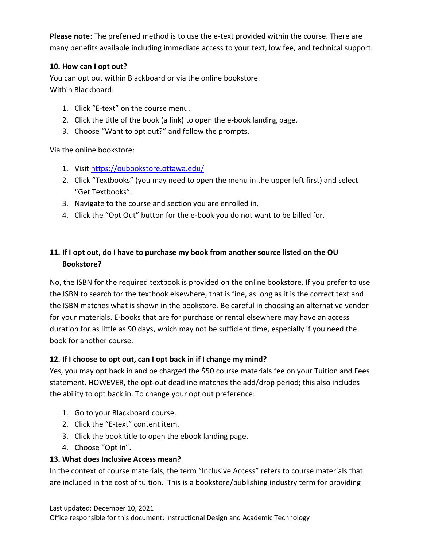**Please note**: The preferred method is to use the e-text provided within the course. There are many benefits available including immediate access to your text, low fee, and technical support.

### **10. How can I opt out?**

You can opt out within Blackboard or via the online bookstore. Within Blackboard:

- 1. Click "E-text" on the course menu.
- 2. Click the title of the book (a link) to open the e-book landing page.
- 3. Choose "Want to opt out?" and follow the prompts.

Via the online bookstore:

- 1. Visi[t https://oubookstore.ottawa.edu/](https://oubookstore.ottawa.edu/)
- 2. Click "Textbooks" (you may need to open the menu in the upper left first) and select "Get Textbooks".
- 3. Navigate to the course and section you are enrolled in.
- 4. Click the "Opt Out" button for the e-book you do not want to be billed for.

# **11. If I opt out, do I have to purchase my book from another source listed on the OU Bookstore?**

No, the ISBN for the required textbook is provided on the online bookstore. If you prefer to use the ISBN to search for the textbook elsewhere, that is fine, as long as it is the correct text and the ISBN matches what is shown in the bookstore. Be careful in choosing an alternative vendor for your materials. E-books that are for purchase or rental elsewhere may have an access duration for as little as 90 days, which may not be sufficient time, especially if you need the book for another course.

### **12. If I choose to opt out, can I opt back in if I change my mind?**

Yes, you may opt back in and be charged the \$50 course materials fee on your Tuition and Fees statement. HOWEVER, the opt-out deadline matches the add/drop period; this also includes the ability to opt back in. To change your opt out preference:

- 1. Go to your Blackboard course.
- 2. Click the "E-text" content item.
- 3. Click the book title to open the ebook landing page.
- 4. Choose "Opt In".

### **13. What does Inclusive Access mean?**

In the context of course materials, the term "Inclusive Access" refers to course materials that are included in the cost of tuition. This is a bookstore/publishing industry term for providing